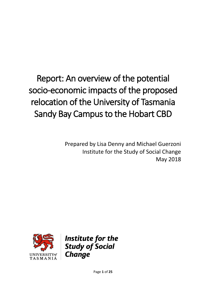# Report: An overview of the potential socio-economic impacts of the proposed relocation of the University of Tasmania Sandy Bay Campus to the Hobart CBD

Prepared by Lisa Denny and Michael Guerzoni Institute for the Study of Social Change May 2018



Institute for the **Study of Social Change**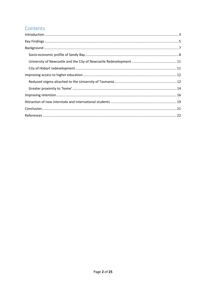# Contents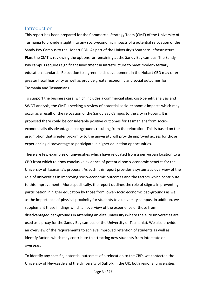## <span id="page-2-0"></span>**Introduction**

This report has been prepared for the Commercial Strategy Team (CMT) of the University of Tasmania to provide insight into any socio-economic impacts of a potential relocation of the Sandy Bay Campus to the Hobart CBD. As part of the University's Southern Infrastructure Plan, the CMT is reviewing the options for remaining at the Sandy Bay campus. The Sandy Bay campus requires significant investment in infrastructure to meet modern tertiary education standards. Relocation to a greenfields development in the Hobart CBD may offer greater fiscal feasibility as well as provide greater economic and social outcomes for Tasmania and Tasmanians.

To support the business case, which includes a commercial plan, cost-benefit analysis and SWOT analysis, the CMT is seeking a review of potential socio-economic impacts which may occur as a result of the relocation of the Sandy Bay Campus to the city in Hobart. It is proposed there could be considerable positive outcomes for Tasmanians from socioeconomically disadvantaged backgrounds resulting from the relocation. This is based on the assumption that greater proximity to the university will provide improved access for those experiencing disadvantage to participate in higher education opportunities.

There are few examples of universities which have relocated from a peri-urban location to a CBD from which to draw conclusive evidence of potential socio-economic benefits for the University of Tasmania's proposal. As such, this report provides a systematic overview of the role of universities in improving socio-economic outcomes and the factors which contribute to this improvement. More specifically, the report outlines the role of stigma in preventing participation in higher education by those from lower-socio economic backgrounds as well as the importance of physical proximity for students to a university campus. In addition, we supplement these findings which an overview of the experience of those from disadvantaged backgrounds in attending an elite university (where the elite universities are used as a proxy for the Sandy Bay campus of the University of Tasmania). We also provide an overview of the requirements to achieve improved retention of students as well as identify factors which may contribute to attracting new students from interstate or overseas.

To identify any specific, potential outcomes of a relocation to the CBD, we contacted the University of Newcastle and the University of Suffolk in the UK, both regional universities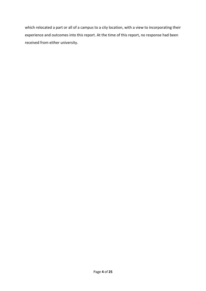which relocated a part or all of a campus to a city location, with a view to incorporating their experience and outcomes into this report. At the time of this report, no response had been received from either university.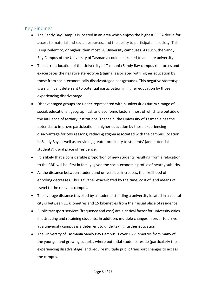# <span id="page-4-0"></span>Key Findings

- The Sandy Bay Campus is located in an area which enjoys the highest SEIFA decile for access to material and social resources, and the ability to participate in society. This is equivalent to, or higher, than most G8 University campuses. As such, the Sandy Bay Campus of the University of Tasmania could be likened to an 'elite university'.
- The current location of the University of Tasmania Sandy Bay campus reinforces and exacerbates the negative stereotype (stigma) associated with higher education by those from socio-economically disadvantaged backgrounds. This negative stereotype is a significant deterrent to potential participation in higher education by those experiencing disadvantage.
- Disadvantaged groups are under-represented within universities due to a range of social, educational, geographical, and economic factors, most of which are outside of the influence of tertiary institutions. That said, the University of Tasmania has the potential to improve participation in higher education by those experiencing disadvantage for two reasons; reducing stigma associated with the campus' location in Sandy Bay as well as providing greater proximity to students' (and potential students') usual place of residence.
- It is likely that a considerable proportion of new students resulting from a relocation to the CBD will be 'first in family' given the socio-economic profile of nearby suburbs.
- As the distance between student and universities increases, the likelihood of enrolling decreases. This is further exacerbated by the time, cost of, and means of travel to the relevant campus.
- The average distance travelled by a student attending a university located in a capital city is between 11 kilometres and 15 kilometres from their usual place of residence.
- Public transport services (frequency and cost) are a critical factor for university cities in attracting and retaining students. In addition, multiple changes in order to arrive at a university campus is a deterrent to undertaking further education.
- The University of Tasmania Sandy Bay Campus is over 15 kilometres from many of the younger and growing suburbs where potential students reside (particularly those experiencing disadvantage) and require multiple public transport changes to access the campus.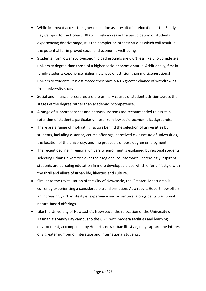- While improved access to higher education as a result of a relocation of the Sandy Bay Campus to the Hobart CBD will likely increase the participation of students experiencing disadvantage, it is the completion of their studies which will result in the potential for improved social and economic well-being.
- Students from lower socio-economic backgrounds are 6.0% less likely to complete a university degree than those of a higher socio-economic status. Additionally, first in family students experience higher instances of attrition than multigenerational university students. It is estimated they have a 40% greater chance of withdrawing from university study.
- Social and financial pressures are the primary causes of student attrition across the stages of the degree rather than academic incompetence.
- A range of support services and network systems are recommended to assist in retention of students, particularly those from low socio-economic backgrounds.
- There are a range of motivating factors behind the selection of universities by students, including distance, course offerings, perceived civic nature of universities, the location of the university, and the prospects of post-degree employment.
- The recent decline in regional university enrolment is explained by regional students selecting urban universities over their regional counterparts. Increasingly, aspirant students are pursuing education in more developed cities which offer a lifestyle with the thrill and allure of urban life, liberties and culture.
- Similar to the revitalisation of the City of Newcastle, the Greater Hobart area is currently experiencing a considerable transformation. As a result, Hobart now offers an increasingly urban lifestyle, experience and adventure, alongside its traditional nature-based offerings.
- Like the University of Newcastle's NewSpace, the relocation of the University of Tasmania's Sandy Bay campus to the CBD, with modern facilities and learning environment, accompanied by Hobart's new urban lifestyle, may capture the interest of a greater number of interstate and international students.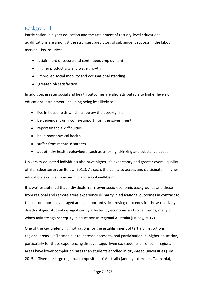# <span id="page-6-0"></span>Background

Participation in higher education and the attainment of tertiary-level educational qualifications are amongst the strongest predictors of subsequent success in the labour market. This includes:

- attainment of secure and continuous employment
- higher productivity and wage growth
- improved social mobility and occupational standing
- greater job satisfaction.

In addition, greater social and health outcomes are also attributable to higher levels of educational attainment, including being less likely to

- live in households which fall below the poverty line
- be dependent on income-support from the government
- report financial difficulties
- be in poor physical health
- suffer from mental disorders
- adopt risky health behaviours, such as smoking, drinking and substance abuse.

University-educated individuals also have higher life expectancy and greater overall quality of life (Edgerton & von Below, 2012). As such, the ability to access and participate in higher education is critical to economic and social well-being.

It is well established that individuals from lower socio-economic backgrounds and those from regional and remote areas experience disparity in educational outcomes in contrast to those from more advantaged areas. Importantly, improving outcomes for these relatively disadvantaged students is significantly affected by economic and social trends, many of which militate against equity in education in regional Australia (Halsey, 2017).

One of the key underlying motivations for the establishment of tertiary institutions in regional areas like Tasmania is to increase access to, and participation in, higher education, particularly for those experiencing disadvantage. Even so, students enrolled in regional areas have lower completion rates than students enrolled in city-based universities (Lim 2015). Given the large regional composition of Australia (and by extension, Tasmania),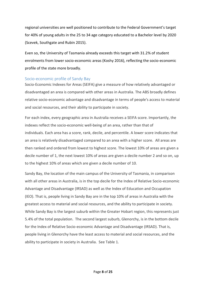regional universities are well positioned to contribute to the Federal Government's target for 40% of young adults in the 25 to 34 age category educated to a Bachelor level by 2020 (Scevek, Southgate and Rubin 2015).

Even so, the University of Tasmania already exceeds this target with 31.2% of student enrolments from lower socio-economic areas (Koshy 2016), reflecting the socio-economic profile of the state more broadly.

#### <span id="page-7-0"></span>Socio-economic profile of Sandy Bay

Socio-Economic Indexes for Areas (SEIFA) give a measure of how relatively advantaged or disadvantaged an area is compared with other areas in Australia. The ABS broadly defines relative socio-economic advantage and disadvantage in terms of people's access to material and social resources, and their ability to participate in society.

For each index, every geographic area in Australia receives a SEIFA score. Importantly, the indexes reflect the socio-economic well-being of an area, rather than that of individuals. Each area has a score, rank, decile, and percentile. A lower score indicates that an area is relatively disadvantaged compared to an area with a higher score. All areas are then ranked and ordered from lowest to highest score. The lowest 10% of areas are given a decile number of 1, the next lowest 10% of areas are given a decile number 2 and so on, up to the highest 10% of areas which are given a decile number of 10.

Sandy Bay, the location of the main campus of the University of Tasmania, in comparison with all other areas in Australia, is in the top decile for the Index of Relative Socio-economic Advantage and Disadvantage (IRSAD) as well as the Index of Education and Occupation (IEO). That is, people living in Sandy Bay are in the top 10% of areas in Australia with the greatest access to material and social resources, and the ability to participate in society. While Sandy Bay is the largest suburb within the Greater Hobart region, this represents just 5.4% of the total population. The second largest suburb, Glenorchy, is in the bottom decile for the Index of Relative Socio-economic Advantage and Disadvantage (IRSAD). That is, people living in Glenorchy have the least access to material and social resources, and the ability to participate in society in Australia. See Table 1.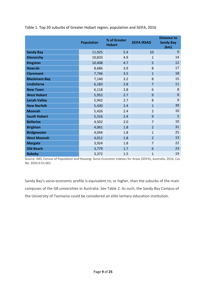|                      | <b>Population</b> | % of Greater<br><b>Hobart</b> | <b>SEIFA IRSAD</b> | <b>Distance to</b><br><b>Sandy Bay</b><br>(km) |
|----------------------|-------------------|-------------------------------|--------------------|------------------------------------------------|
| <b>Sandy Bay</b>     | 11,925            | 5.4                           | 10                 | $\Omega$                                       |
| Glenorchy            | 10,833            | 4.9                           | $\mathbf{1}$       | 14                                             |
| <b>Kingston</b>      | 10,408            | 4.7                           | 5                  | 12                                             |
| <b>Howrah</b>        | 8,686             | 3.9                           | 8                  | 17                                             |
| <b>Claremont</b>     | 7,746             | 3.5                           | $\overline{1}$     | 18                                             |
| <b>Blackmans Bay</b> | 7,140             | 3.2                           | 8                  | 15                                             |
| <b>Lindisfarne</b>   | 6,183             | 2.8                           | $\overline{7}$     | 11                                             |
| <b>New Town</b>      | 6,118             | 2.8                           | 6                  | 8                                              |
| <b>West Hobart</b>   | 5,952             | 2.7                           | 9                  | 6                                              |
| <b>Lenah Valley</b>  | 5,942             | 2.7                           | 8                  | 9                                              |
| <b>New Norfolk</b>   | 5,430             | 2.4                           | $\overline{1}$     | 39                                             |
| <b>Moonah</b>        | 5,426             | 2.4                           | $\overline{2}$     | 10                                             |
| <b>South Hobart</b>  | 5,316             | 2.4                           | 9                  | 5                                              |
| <b>Bellerive</b>     | 4,502             | 2.0                           | $\overline{7}$     | 10                                             |
| <b>Brighton</b>      | 4,061             | 1.8                           | $\overline{2}$     | 31                                             |
| <b>Bridgewater</b>   | 4,044             | 1.8                           | 1                  | 25                                             |
| <b>West Moonah</b>   | 4,012             | 1.8                           | $\overline{2}$     | 13                                             |
| <b>Margate</b>       | 3,924             | 1.8                           | $\overline{7}$     | 22                                             |
| <b>Old Beach</b>     | 3,779             | 1.7                           | 6                  | 23                                             |
| <b>Rokeby</b>        | 3,372             | 1.5                           | 1                  | 19                                             |

Table 1. Top 20 suburbs of Greater Hobart region, population and SEIFA, 2016

Source: ABS, Census of Population and Housing: Socio-Economic Indexes for Areas (SEIFA), Australia, 2016, Cat. No. 2033.0.55.001

Sandy Bay's socio-economic profile is equivalent to, or higher, than the suburbs of the main campuses of the G8 universities in Australia. See Table 2. As such, the Sandy Bay Campus of the University of Tasmania could be considered an elite tertiary education institution.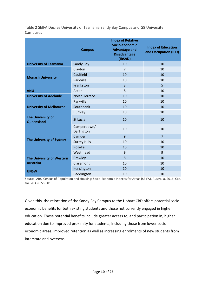Table 2 SEIFA Deciles University of Tasmania Sandy Bay Campus and G8 University Campuses

|                                        | <b>Campus</b>             | <b>Index of Relative</b><br>Socio-economic<br><b>Advantage and</b><br><b>Disadvantage</b><br>(IRSAD) | <b>Index of Education</b><br>and Occupation (IEO) |
|----------------------------------------|---------------------------|------------------------------------------------------------------------------------------------------|---------------------------------------------------|
| <b>University of Tasmania</b>          | Sandy Bay                 | 10                                                                                                   | 10                                                |
| <b>Monash University</b>               | Clayton                   | 7                                                                                                    | 10                                                |
|                                        | Caulfield                 | 10                                                                                                   | 10                                                |
|                                        | Parkville                 | 10                                                                                                   | 10                                                |
|                                        | Frankston                 | 3                                                                                                    | 5                                                 |
| <b>ANU</b>                             | Acton                     | 8                                                                                                    | 10                                                |
| <b>University of Adelaide</b>          | <b>North Terrace</b>      | 10                                                                                                   | 10                                                |
| <b>University of Melbourne</b>         | Parkville                 | 10                                                                                                   | 10                                                |
|                                        | Southbank                 | 10                                                                                                   | 10                                                |
|                                        | <b>Burnley</b>            | 10                                                                                                   | 10                                                |
| <b>The University of</b><br>Queensland | St Lucia                  | 10                                                                                                   | 10                                                |
| <b>The University of Sydney</b>        | Camperdown/<br>Darlington | 10                                                                                                   | 10                                                |
|                                        | Camden                    | 9                                                                                                    | $\overline{7}$                                    |
|                                        | <b>Surrey Hills</b>       | 10                                                                                                   | 10                                                |
|                                        | Rozelle                   | 10                                                                                                   | 10                                                |
|                                        | Westmead                  | 9                                                                                                    | 9                                                 |
| The University of Western              | Crawley                   | 8                                                                                                    | 10                                                |
| <b>Australia</b>                       | Claremont                 | 10                                                                                                   | 10                                                |
| <b>UNSW</b>                            | Kensington                | 10                                                                                                   | 10                                                |
|                                        | Paddington                | 10                                                                                                   | 10                                                |

Source: ABS, Census of Population and Housing: Socio-Economic Indexes for Areas (SEIFA), Australia, 2016, Cat. No. 2033.0.55.001

Given this, the relocation of the Sandy Bay Campus to the Hobart CBD offers potential socioeconomic benefits for both existing students and those not currently engaged in higher education. These potential benefits include greater access to, and participation in, higher education due to improved proximity for students, including those from lower socioeconomic areas, improved retention as well as increasing enrolments of new students from interstate and overseas.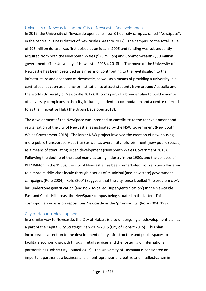#### <span id="page-10-0"></span>University of Newcastle and the City of Newcastle Redevelopment

In 2017, the University of Newcastle opened its new 8-floor city campus, called "NewSpace", in the central business district of Newcastle (Gregory 2017). The campus, to the total value of \$95 million dollars, was first poised as an idea in 2006 and funding was subsequently acquired from both the New South Wales (\$25 million) and Commonwealth (\$30 million) governments (The University of Newcastle 2018a, 2018b). The move of the University of Newcastle has been described as a means of contributing to the revitalisation to the infrastructure and economy of Newcastle, as well as a means of providing a university in a centralised location as an anchor institution to attract students from around Australia and the world (University of Newcastle 2017). It forms part of a broader plan to build a number of university complexes in the city, including student accommodation and a centre referred to as the Innovative Hub (The Urban Developer 2018).

The development of the NewSpace was intended to contribute to the redevelopment and revitalisation of the city of Newcastle, as instigated by the NSW Government (New South Wales Government 2018). The larger NSW project involved the creation of new housing, more public transport services (rail) as well as overall city refurbishment (new public spaces) as a means of stimulating urban development (New South Wales Government 2018). Following the decline of the steel manufacturing industry in the 1980s and the collapse of BHP Billiton in the 1990s, the city of Newcastle has been remarketed from a blue-collar area to a more middle-class locale through a series of municipal (and now state) government campaigns (Rofe 2004). Rofe (2004) suggests that the city, once labelled 'the problem city', has undergone gentrification (and now so-called 'super-gentrification') in the Newcastle East and Cooks Hill areas, the NewSpace campus being situated in the latter. This cosmopolitan expansion repositions Newcastle as the 'promise city' (Rofe 2004: 193).

#### <span id="page-10-1"></span>City of Hobart redevelopment

In a similar way to Newcastle, the City of Hobart is also undergoing a redevelopment plan as a part of the Capital City Strategic Plan 2015-2015 (City of Hobart 2015). This plan incorporates attention to the development of city infrastructure and public spaces to facilitate economic growth through retail services and the fostering of international partnerships (Hobart City Council 2013). The University of Tasmania is considered an important partner as a business and an entrepreneur of creative and intellectualism in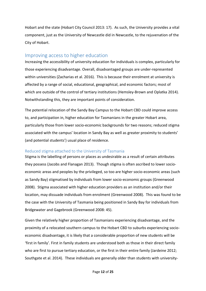Hobart and the state (Hobart City Council 2013: 17). As such, the University provides a vital component, just as the University of Newcastle did in Newcastle, to the rejuvenation of the City of Hobart.

## <span id="page-11-0"></span>Improving access to higher education

Increasing the accessibility of university education for individuals is complex, particularly for those experiencing disadvantage. Overall, disadvantaged groups are under-represented within universities (Zacharias et al. 2016). This is because their enrolment at university is affected by a range of social, educational, geographical, and economic factors; most of which are outside of the control of tertiary institutions (Hemsley-Brown and Oplatka 2014). Notwithstanding this, they are important points of consideration.

The potential relocation of the Sandy Bay Campus to the Hobart CBD could improve access to, and participation in, higher education for Tasmanians in the greater Hobart area, particularly those from lower socio-economic backgrounds for two reasons; reduced stigma associated with the campus' location in Sandy Bay as well as greater proximity to students' (and potential students') usual place of residence.

### <span id="page-11-1"></span>Reduced stigma attached to the University of Tasmania

Stigma is the labelling of persons or places as undesirable as a result of certain attributes they possess (Jacobs and Flanagan 2013). Though stigma is often ascribed to lower socioeconomic areas and peoples by the privileged, so too are higher socio-economic areas (such as Sandy Bay) stigmatised by individuals from lower socio-economic groups (Greenwood 2008). Stigma associated with higher education providers as an institution and/or their location, may dissuade individuals from enrolment (Greenwood 2008). This was found to be the case with the University of Tasmania being positioned in Sandy Bay for individuals from Bridgewater and Gagebrook (Greenwood 2008: 45).

Given the relatively higher proportion of Tasmanians experiencing disadvantage, and the proximity of a relocated southern campus to the Hobart CBD to suburbs experiencing socioeconomic disadvantage, it is likely that a considerable proportion of new students will be 'first in family'. First in family students are understood both as those in their direct family who are first to pursue tertiary education, or the first in their entire family (Jardeine 2012; Southgate et al. 2014). These individuals are generally older than students with university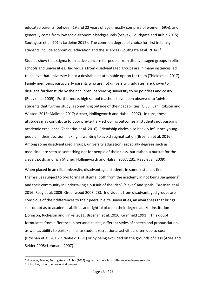educated parents (between 19 and 22 years of age), mostly comprise of women (69%), and generally come from low socio-economic backgrounds (Scevak, Southgate and Rubin 2015; Southgate et al. 2014; Jardeine 2012). The common degree of choice for first in family students include economics, education and the sciences (Southgate et al. 2014).<sup>1</sup>

Studies show that stigma is an active concern for people from disadvantaged groups in elite schools and universities. Individuals from disadvantaged groups are in many instances led to believe that university is not a desirable or attainable option for them (Thiele et al. 2017). Family members, particularly parents who are not university graduates, are known to dissuade further study by their children, perceiving university to be pointless and costly (Reay et al. 2009). Furthermore, high school teachers have been observed to 'advise' students that further study is something outside of their capabilities (O'Sullivan, Robson and Winters 2018; Mallman 2017; Archer, Hollingworth and Halsall 2007). In turn, these attitudes may contribute to poor pre-tertiary schooling outcomes in students not pursuing academic excellence (Zacharias et al. 2016). Friendship circles also heavily influence young people in their decision making in wanting to avoid stigmatisation (Brosnan et al. 2016). Among some disadvantaged groups, university education (especially degrees such as medicine) are seen as something not for people of their class, but rather, a pursuit for the clever, posh, and rich (Archer, Hollingworth and Halsall 2007: 231; Reay et al. 2009).

When placed in an elite university, disadvantaged students in some instances find themselves subject to two forms of stigma, both from the academy in not being *sui generis<sup>2</sup>* and their community in undertaking a pursuit of the 'rich', 'clever' and 'posh' (Brosnan et al 2016; Reay et al. 2009; Greenwood 2008: 28). Individuals from disadvantaged groups are conscious of their differences to their peers in elite universities, an awareness that brings self-doubt as to academic abilities and rightful place in their degree and/or institution (Johnson, Richeson and Finkel 2011; Brosnan et al. 2016; Granfield 1991). This doubt formulates from difference in personal tastes, different styles of speech and pronunciation, as well as ability to partake in elite student recreational activities, often due to cost (Brosnan et al. 2016; Granfield 1991) or by being excluded on the grounds of class (Aries and Seider 2005; Lehmann 2007).

**.** 

<sup>&</sup>lt;sup>1</sup> However, Scevak, Southgate and Rubin (2015) argue that there is no difference in degree selection.

<sup>2</sup> of his, her, its, or their own kind; unique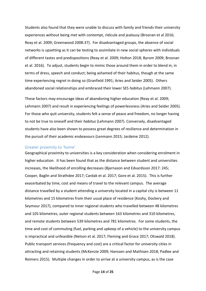Students also found that they were unable to discuss with family and friends their university experiences without being met with contempt, ridicule and jealousy (Brosnan et al 2016; Reay et al. 2009; Greenwood 2008:37). For disadvantaged groups, the absence of social networks is upsetting as it can be testing to assimilate in new social spheres with individuals of different tastes and predispositions (Reay et al. 2009; Holton 2018; Byrom 2009; Brosnan et al. 2016). To adjust, students begin to mimic those around them in order to blend in, in terms of dress, speech and conduct; being ashamed of their habitus, though at the same time experiencing regret in doing so (Granfield 1991; Aries and Seider 2005). Others abandoned social relationships and embraced their lower SES *habitus* (Lehmann 2007).

These factors may encourage ideas of abandoning higher education (Reay et al. 2009; Lehmann 2007) and result in experiencing feelings of powerlessness (Aries and Seider 2005). For those who quit university, students felt a sense of peace and freedom, no longer having to not be true to oneself and their *habitus* (Lehmann 2007). Conversely, disadvantaged students have also been shown to possess great degrees of resilience and determination in the pursuit of their academic endeavours (Lenmann 2015; Jardeine 2012).

#### <span id="page-13-0"></span>Greater proximity to 'home'

Geographical proximity to universities is a key consideration when considering enrolment in higher education. It has been found that as the distance between student and universities increases, the likelihood of enrolling decreases (Bjarnason and Edvardsson 2017: 245; Cooper, Baglin and Strathdee 2017; Cardak et al. 2017; Gore et al. 2015). This is further exacerbated by time, cost and means of travel to the relevant campus. The average distance travelled by a student attending a university located in a capital city is between 11 kilometres and 15 kilometres from their usual place of residence (Koshy, Dockery and Seymour 2017), compared to inner regional students who travelled between 48 kilometres and 105 kilometres, outer regional students between 163 kilometres and 310 kilometres, and remote students between 539 kilometres and 781 kilometres. For some students, the time and cost of commuting (fuel, parking and upkeep of a vehicle) to the university campus is impractical and unfeasible (Nelson et al. 2017; Fleming and Grace 2017; Otswald 2018). Public transport services (frequency and cost) are a critical factor for university cities in attracting and retaining students (McKenzie 2009; Hanssen and Mathisen 2018; Padlee and Reimers 2015). Multiple changes in order to arrive at a university campus, as is the case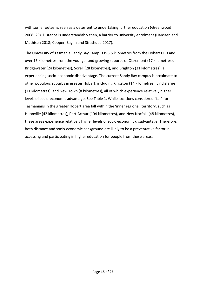with some routes, is seen as a deterrent to undertaking further education (Greenwood 2008: 29). Distance is understandably then, a barrier to university enrolment (Hanssen and Mathisen 2018; Cooper, Baglin and Strathdee 2017).

The University of Tasmania Sandy Bay Campus is 3.5 kilometres from the Hobart CBD and over 15 kilometres from the younger and growing suburbs of Claremont (17 kilometres), Bridgewater (24 kilometres), Sorell (28 kilometres), and Brighton (31 kilometres), all experiencing socio-economic disadvantage. The current Sandy Bay campus is proximate to other populous suburbs in greater Hobart, including Kingston (14 kilometres), Lindisfarne (11 kilometres), and New Town (8 kilometres), all of which experience relatively higher levels of socio-economic advantage. See Table 1. While locations considered "far" for Tasmanians in the greater Hobart area fall within the 'inner regional' territory, such as Huonville (42 kilometres), Port Arthur (104 kilometres), and New Norfolk (48 kilometres), these areas experience relatively higher levels of socio-economic disadvantage. Therefore, both distance and socio-economic background are likely to be a preventative factor in accessing and participating in higher education for people from these areas.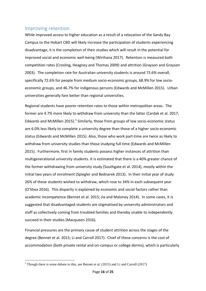## <span id="page-15-0"></span>Improving retention

While improved access to higher education as a result of a relocation of the Sandy Bay Campus to the Hobart CBD will likely increase the participation of students experiencing disadvantage, it is the completion of their studies which will result in the potential for improved social and economic well-being (Wirihana 2017). Retention is measured both competition rates (Crosling, Heagney and Thomas 2009) and attrition (Grayson and Grayson 2003). The completion rate for Australian university students is around 73.6% overall, specifically 72.6% for people from medium socio-economic groups, 68.9% for low socioeconomic groups, and 46.7% for indigenous persons (Edwards and McMillen 2015). Urban universities generally fare better than regional universities.

Regional students have poorer retention rates to those within metropolitan areas. The former are 4.7% more likely to withdraw from university than the latter (Cardak et al. 2017; Edwards and McMillen 2015).<sup>3</sup> Similarly, those from groups of low socio-economic status are 6.0% less likely to complete a university degree than those of a higher socio-economic status (Edwards and McMillen 2015). Also, those who work part-time are twice as likely to withdraw from university studies than those studying full time (Edwards and McMillen 2015). Furthermore, first in family students possess higher instances of attrition than multigenerational university students. It is estimated that there is a 40% greater chance of the former withdrawing from university study (Southgate et al. 2014), mostly within the initial two years of enrolment (Spiegler and Bednarek 2013). In their initial year of study 26% of these students wished to withdraw, which rose to 34% in each subsequent year (O'Shea 2016). This disparity is explained by economic and social factors rather than academic incompetence (Bennet et al. 2015; Jia and Maloney 2014). In some cases, it is suggested that disadvantaged students are stigmatised by university administrators and staff as collectively coming from troubled families and thereby unable to independently succeed in their studies (Macqueen 2016).

Financial pressures are the primary cause of student attrition across the stages of the degree (Bennet et al. 2015; Li and Carroll 2017). Chief of these concerns is the cost of accommodation (both private rental and on-campus or college dorms), which is particularly

**.** 

<sup>&</sup>lt;sup>3</sup> Though there is some debate to this, see Bennet et al. (2015) and Li and Carroll (2017)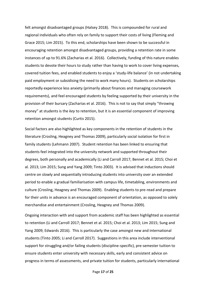felt amongst disadvantaged groups (Halsey 2018). This is compounded for rural and regional individuals who often rely on family to support their costs of living (Fleming and Grace 2015; Lim 2015). To this end, scholarships have been shown to be successful in encouraging retention amongst disadvantaged groups, providing a retention rate in some instances of up to 91.6% (Zacharias et al. 2016). Collectively, funding of this nature enables students to devote their hours to study rather than having to work to cover living expenses, covered tuition fees, and enabled students to enjoy a 'study-life balance' (in not undertaking paid employment or subsidising the need to work many hours). Students on scholarships reportedly experience less anxiety (primarily about finances and managing coursework requirements), and feel encouraged students by feeling supported by their university in the provision of their bursary (Zacharias et al. 2016). This is not to say that simply "throwing money" at students is the *key* to retention, but it is an essential component of improving retention amongst students (Curtis 2015).

Social factors are also highlighted as key components in the retention of students in the literature (Crosling, Heagney and Thomas 2009), particularly social isolation for first in family students (Lehmann 2007). Student retention has been linked to ensuring that students feel integrated into the university network and supported throughout their degrees, both personally and academically (Li and Carroll 2017; Bennet et al. 2015; Choi et al. 2013; Lim 2015; Sung and Yang 2009; Tinto 2003). It is advised that inductions should centre on slowly and sequentially introducing students into university over an extended period to enable a gradual familiarisation with campus life, timetabling, environments and culture (Crosling, Heagney and Thomas 2009). Enabling students to pre-read and prepare for their units in advance is an encouraged component of orientation, as opposed to solely merchandise and entertainment (Crosling, Heagney and Thomas 2009).

Ongoing interaction with and support from academic staff has been highlighted as essential to retention (Li and Carroll 2017; Bennet et al. 2015; Choi et al. 2013; Lim 2015; Sung and Yang 2009; Edwards 2016). This is particularly the case amongst new and international students (Tinto 2005; Li and Carroll 2017). Suggestions in this area include interventional support for struggling and/or failing students (discipline-specific), pre-semester tuition to ensure students enter university with necessary skills, early and consistent advice on progress in terms of assessments, and private tuition for students, particularly international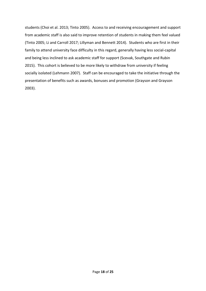students (Choi et al. 2013; Tinto 2005). Access to and receiving encouragement and support from academic staff is also said to improve retention of students in making them feel valued (Tinto 2005; Li and Carroll 2017; Lillyman and Bennett 2014). Students who are first in their family to attend university face difficulty in this regard, generally having less social-capital and being less inclined to ask academic staff for support (Scevak, Southgate and Rubin 2015). This cohort is believed to be more likely to withdraw from university if feeling socially isolated (Lehmann 2007). Staff can be encouraged to take the initiative through the presentation of benefits such as awards, bonuses and promotion (Grayson and Grayson 2003).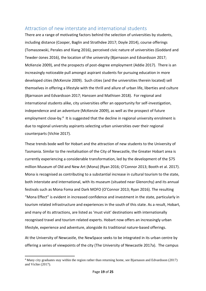## <span id="page-18-0"></span>Attraction of new interstate and international students

There are a range of motivating factors behind the selection of universities by students, including distance (Cooper, Baglin and Strathdee 2017; Doyle 2014), course offerings (Tomaszewski, Perales and Xiang 2016), perceived civic nature of universities (Goddard and Tewder-Jones 2016), the location of the university (Bjarnason and Edvardsson 2017; McKenzie 2009), and the prospects of post-degree employment (Addie 2017). There is an increasingly noticeable pull amongst aspirant students for pursuing education in more developed cities (McKenzie 2009). Such cities (and the universities therein located) sell themselves in offering a lifestyle with the thrill and allure of urban life, liberties and culture (Bjarnason and Edvardsson 2017; Hanssen and Mathisen 2018). For regional and international students alike, city universities offer an opportunity for self-investigation, independence and an adventure (McKenzie 2009), as well as the prospect of future employment close-by.<sup>4</sup> It is suggested that the decline in regional university enrolment is due to regional university aspirants selecting urban universities over their regional counterparts (Vichie 2017).

These trends bode well for Hobart and the attraction of new students to the University of Tasmania. Similar to the revitalisation of the City of Newcastle, the Greater Hobart area is currently experiencing a considerable transformation, led by the development of the \$75 million Museum of Old and New Art (Mona) (Ryan 2016; O'Connor 2013; Booth et al. 2017). Mona is recognised as contributing to a substantial increase in cultural tourism to the state, both interstate and international, with its museum (situated near Glenorchy) and its annual festivals such as Mona Foma and Dark MOFO (O'Connor 2013; Ryan 2016). The resulting "Mona Effect" is evident in increased confidence and investment in the state, particularly in tourism related infrastructure and experiences in the south of this state. As a result, Hobart, and many of its attractions, are listed as 'must visit' destinations with internationally recognised travel and tourism related experts. Hobart now offers an increasingly urban lifestyle, experience and adventure, alongside its traditional nature-based offerings.

At the University of Newcastle, the NewSpace seeks to be integrated in its urban centre by offering a series of viewpoints of the city (The University of Newcastle 2017a). The campus

1

<sup>4</sup> Many city graduates stay within the region rather than returning home, see Bjarnason and Edvardsson (2017) and Vichie (2017).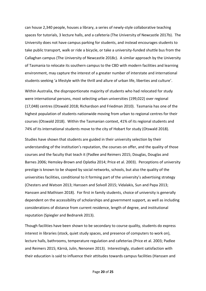can house 2,340 people, houses a library, a series of newly-style collaborative teaching spaces for tutorials, 3 lecture halls, and a cafeteria (The University of Newcastle 2017b). The University does not have campus parking for students, and instead encourages students to take public transport, walk or ride a bicycle, or take a university-funded shuttle bus from the Callaghan campus (The University of Newcastle 2018c). A similar approach by the University of Tasmania to relocate its southern campus to the CBD with modern facilities and learning environment, may capture the interest of a greater number of interstate and international students seeking 'a lifestyle with the thrill and allure of urban life, liberties and culture'.

Within Australia, the disproportionate majority of students who had relocated for study were international persons, most selecting urban universities (199,022) over regional (17,048) centres (Otswald 2018; Richardson and Friedman 2010). Tasmania has one of the highest population of students nationwide moving from urban to regional centres for their courses (Otswald 2018). Within the Tasmanian context, 41% of its regional students and 74% of its international students move to the city of Hobart for study (Otswald 2018).

Studies have shown that students are guided in their university selection by their understanding of the institution's reputation, the courses on offer, and the quality of those courses and the faculty that teach it (Padlee and Reimers 2015; Douglas, Douglas and Barnes 2006; Hemsley-Brown and Oplatka 2014; Price et al. 2003). Perceptions of university prestige is known to be shaped by social networks, schools, but also the quality of the universities facilities, conditional to it forming part of the university's advertising strategy (Chesters and Watson 2013; Hanssen and Solvoll 2015; Vidalakis, Sun and Papa 2013; Hanssen and Mathisen 2018). For first in family students, choice of university is generally dependent on the accessibility of scholarships and government support, as well as including considerations of distance from current residence, length of degree, and institutional reputation (Spiegler and Bednarek 2013).

Though facilities have been shown to be secondary to course quality, students do express interest in libraries (stock, quiet study spaces, and presence of computers to work on), lecture halls, bathrooms, temperature regulation and cafeterias (Price et al. 2003; Padlee and Reimers 2015; Kärnä, Julin, Nenonen 2013). Interestingly, student satisfaction with their education is said to influence their attitudes towards campus facilities (Hanssen and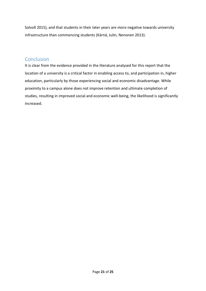Solvoll 2015), and that students in their later years are more negative towards university infrastructure than commencing students (Kärnä, Julin, Nenonen 2013).

## <span id="page-20-0"></span>Conclusion

It is clear from the evidence provided in the literature analysed for this report that the location of a university is a critical factor in enabling access to, and participation in, higher education, particularly by those experiencing social and economic disadvantage. While proximity to a campus alone does not improve retention and ultimate completion of studies, resulting in improved social and economic well-being, the likelihood is significantly increased.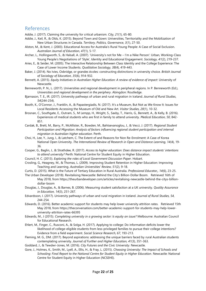## <span id="page-21-0"></span>References

Addie, J. (2017). Claiming the university for critical urbanism. *City, 21*(1), 65-80.

- Addie, J., Keil, R., & Olds, K. (2015). Beyond Town and Gown: Universities, Territoriality and the Mobilization of New Urban Structures in Canada. *Territory, Politics, Governance, 3*(1), 27-50.
- Alston, M., & Kent, J. (2003). Educational Access for Australia's Rural Young People: A Case of Social Exclusion. *Australian Journal of Education, 47*(1), 5-17.
- Archer, L., Hollingworth, S., & Halsall, A. (2007). 'University's not for Me I'm a Nike Person': Urban, Working-Class Young People's Negotiations of 'Style', Identity and Educational Engagement. *Sociology, 41*(2), 219-237.
- Aries, E., & Seider, M. (2005). The Interactive Relationship Between Class Identity and the College Experience: The Case of Lower Income Students. *Qualitative Sociology, 38*(4), 419-443.
- Baker, J. (2014). No Ivies, Oxbridge, or grandes écoles: constructing distinctions in university choice. *British Journal of Sociology of Education, 35*(6), 914-932.
- Bennett, A. (2015). *Equity Initiatives in Australian Higher Education: A review of evidence of impact*: University of Newcastle.
- Benneworth, P. N., L. (2017). Universities and regional development in peripheral regions. In P. Benneworth (Ed.), *Universities and regional development in the periphery*. Abingdon: Routledge.
- Bjarnason, T. E., IR. (2017). University pathways of urban and rural migration in Iceland. *Journal of Rural Studies, 54*(244-254).
- Booth, K., O'Connor, J., Franklin, A., & Papastergiadis, N. (2017). It's a Museum, But Not as We Know It: Issues for Local Residents Accessing the Museum of Old and New Art. *Visitor Studies, 20*(1), 10-32.
- Brosnan, C., Southgate, E., Outram, S., M Lempp, H., Wright, S., Saxby, T., Harris, G., Bennett, A., & Kelly, B. (2016). Experiences of medical students who are first in family to attend university. *Medical Education, 50*, 842- 851.
- Cardak, B., Brett, M., Barry, P., McAllister, R., Bowden, M., Bahtsevanoglou, J., & Vecci, J. (2017). *Regional Student Participation and Migration: Analysis of factors influencing regional student participation and internal migration in Australian higher education*. Perth.
- Choi, H., Lee, Y., Jung, I., & Latchem, C. The Extent of and Reasons for Non Re-Enrolment: A Case of Korea National Open University. *The International Review of Research in Open and Distance Learning, 14*(4), 19- 36.
- Cooper, G., Baglin, J., & Strathdee, R. (2017). *Access to higher education: Does distance impact students' intentions to attend university?* Perth: National Centre for Student Equity in Higher Education.
- Council, H. C. (2013). *Exploring the roles of Local Government Discussion Paper*. Hobart.
- Crosling, G., Heagney, M., & Thomas, L. (2009). Improving Student Retention in Higher Education: Improving Teaching and Learning. *Australian Universities' Review, 51*(2), 9-18.
- Curtis, D. (2015). What is the Future of Tertiary Education in Rural Australia. *Professional Educator,, 14*(6), 23-25.
- The Urban Developer (2018). Revitalising Newcastle: Behind the City's Billion-Dollar Boom. Retrieved 16th of May 2018, from https://theurbandeveloper.com/articles/revitalising-newcastle-behind-the-citys-billiondollar-boom
- Douglas, J., Douglas, A., & Barnes, B. (2006). Measuring student satisfaction at a UK university. *Quality Assurance in Education, 14*(3), 251-267.
- Edvardsson, I. (2017). University pathways of urban and rural migration in Iceland. *Journal of Rural Studies, 54*, 244-254.
- Edwards, D. (2016). Better academic support for students may help lower university attrition rates. Retrieved 15th May 2018, from https://theconversation.com/better-academic-support-for-students-may-help-loweruniversity-attrition-rates-66395
- Edwards, M., J (2015). *Completing university in a growing sector: Is equity an issue?* Melbourne: Australian Council for Educational Research.
- Ehlert, M., Finger, C., Rusconi, A., & Solga, H. (2017). Applying to college: Do information deficits lower the likelihood of college-eligible students from less-privileged families to pursue their college intentions? Evidence from a field experiment. *Social Science Research, 67*, 193-213.
- Fleming, M. G., DM. (2017). Beyond aspirations: addressing the unique barriers faced by rural Australian students contemplating university. *Journal of Further and Higher Education, 41*(3), 351-363.
- Goddard, J., & Tewdwr-Jones, M. (2016). *City Futures and the Civic University*. Newcastle.
- Gore, J., Holmes, K., Smith, M., Lyell, A., Ellis, H., & Fray, L. (2015). *Choosing University: The Impact of Schools and Schooling: Final Report to the National Centre for Student Equity in Higher Education*. Newcastle: National Centre for Student Equity in Higher Education (NCSEHE).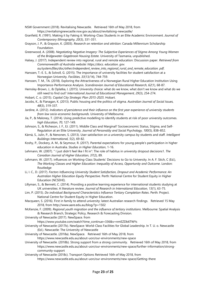NSW Government (2018). Revitalising Newcastle. Retrieved 16th of May 2018, from https://revitalisingnewcastle.nsw.gov.au/about/revitalising-newcastle/

Granfield, R. (1991). Making it by Faking it: Working-Class Students in an Elite Academic Environment. *Journal of Contemporary Ethnography, 20*(3), 331-351.

Grayson, J. P., & Grayson, K. (2003). *Research on retention and attrition*: Canada Millennium Scholarship Foundation.

Greenwood, A. (2008). *Negotiating Negative Imagery: The Subjective Experiences of Stigma Among Young Women of the Bridgewater-Gagebrook Housing Estate.* University of Tasmania, unpublished.

Halsey, J. (2017). Independent review into regional, rural and remote education: Discussion paper. *Retrieved from Commonwealth of Australia website: https://docs. education. gov.* 

*au/system/files/doc/other/independent\_review\_into\_regional\_rural\_and\_remote\_education. pdf*. Hanssen, T.-E. S., & Solvoll, G. (2015). The importance of university facilities for student satisfaction at a Norwegian University. *Facilities, 33*(13/14), 744-759.

Hanssen, T. M., TA. (2018). Exploring the Attractiveness of a Norwegian Rural Higher Education Institution Using Importance-Performance Analysis. *Scandinavian Journal of Educational Research, 62*(1), 68-87.

Hemsley-Brown, J., & Oplatka, I. (2015). University choice: what do we know, what don't we know and what do we still need to find out? *International Journal of Educational Management, 29*(3), 254-274.

Hobart, C. o. (2015). *Capital City Strategic Plan 2015-2025*. Hobart.

Jacobs, K., & Flanagan, K. (2013). Public housing and the politics of stigma. *Australian Journal of Social Issues, 48*(3), 319-337.

Jardine, A. (2012). *Indicators of persistence and their influence on the first year experience of university students from low socio-economic backgrounds.* University of Melbourne.

Jia, P., & Maloney, T. (2014). Using predictive modelling to identify students at risk of poor university outcomes. *high Education, 70*, 127-149.

Johnson, S., & Richeson, J. F., EJ. (2011). Middle Class and Marginal? Socioeconomic Status, Stigma, and Self-Regulation at an Elite University. *Journal of Personality and Social Psychology, 100*(5), 838–852.

Kärnä, S., Julin, P., & Nenonen, S. (2013). User satisfaction on a university campus by students and staff. *Intelligent Buildings International, 5*(2), 69-82.

Koshy, P., Dockery, A. M., & Seymour, R. (2017). Parental expectations for young people's participation in higher education in Australia. *Studies in Higher Education*, 1-16.

Lehmann, W. (2007). " I just didn't feel like I fit in": The role of habitus in university dropout decisions1. *The Canadian Journal of Higher Education, 37*(2), 89.

Lehmann, W. (2017). influences on Working-Class Students' Decisions to Go to University. In A. F. Stich, C (Ed.), *The Working Classes and Higher Education: Inequality of Access, Opportunity and Outcome*. London: Routledge

Li, I. C., D. (2017). *Factors Influencing University Student Satisfaction, Dropout and Academic Performance: An Australian Higher Education Equity Perspective*. Perth: National Centre for Student Equity in Higher Education (NCSEHE).

Lillyman, S., & Bennett, C. (2014). Providing a positive learning experience for international students studying at UK universities: A literature review. *Journal of Research in International Education, 13*(1), 63-75.

Lim, P. (2015). *Do individual Background Characteristics Influence Tertiary Completion Rates*. Perth: Project. National Centre for Student Equity in Higher Education.

Macqueen, S. (2016). First in family to attend university: latest Australian research findings. Retrieved 15 May 2018, from http://www.aare.edu.au/blog/?p=1502

McKenzie, F. (2009). *Regional youth migration and the influence of tertiary institutions*. Melbourne: Spatial Analysis & Research Branch, Strategic Policy, Research & Forecasting Division.

University of Newcastle (2017). NewSpace. from

https://www.youtube.com/watch?time\_continue=336&v=nmEZDb6TWYs

University of Newcastle (2017b). NewSpace: World-Class Facilities for Global Leadership. In T. U. o. Newcastle (Ed.). Newcastle: The University of Newcastle

University of Newcastle. (2018a). NewSpace. Retrieved 16th of May 2018, from

https://www.newcastle.edu.au/about-uon/our-environments/new-space

University of Newcastle. (2018b). Strong support from a strong community. Retrieved 16th of May 2018, from https://www.newcastle.edu.au/about-uon/our-environments/new-space/further-information/strongcommunity-support

University of Newcastle (2018c). Transport Options Retrieved 16th of May 2018, from https://www.newcastle.edu.au/about-uon/our-environments/new-space/Getting-there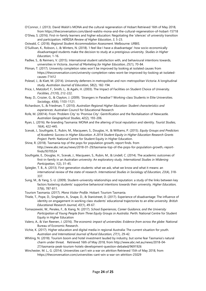O'Connor, J. (2013). David Walsh's MONA and the cultural regeneration of Hobart Retrieved 16th of May 2018, from https://theconversation.com/david-walshs-mona-and-the-cultural-regeneration-of-hobart-15718

O'Shea, S. (2016). First-in-family learners and higher education: Negotiating the 'silences' of university transition and participation. *HERDSA Review of Higher Education, 3*, 5-23.

Ostwald, C. (2018). *Regional Student Accommodation Assessment*. Melbourne: URBIS.

- O'Sullivan, K., Robson, J., & Winters, N. (2018). 'I feel like I have a disadvantage': how socio-economically disadvantaged students make the decision to study at a prestigious university. *Studies in Higher Education*, 1-16.
- Padlee, S., & Reimers, V. (2015). International student satisfaction with, and behavioural intentions towards, universities in Victoria. *Journal of Marketing for Higher Education, 25*(1), 70-84.
- Pitman, T. (2017). University completion rates won't be improved by looking at isolated causes from https://theconversation.com/university-completion-rates-wont-be-improved-by-looking-at-isolatedcauses-71412
- Polesel, J., & Klatt, M. (2014). University deferrers in metropolitan and non-metropolitan Victoria: A longitudinal study. *Australian Journal of Education, 58*(2), 182-194.
- Price, I., Matzdorf, F., Smith, L., & Agahi, H. (2003). The Impact of Facilities on Student Choice of University. *Facilities, 21*(10), 212-222.
- Reay, D., Crozier, G., & Clayton, J. (2009). 'Strangers in Paradise'? Working-class Students in Elite Universities. *Sociology, 43*(6), 1103-1121.
- Richardson, S., & Friedman, T. (2010). *Australian Regional Higher Education: Student characteristics and experiences*: Australian Council for Educational Research
- Rofe, M. (20014). From 'Problem City' to 'Promise City': Gentrification and the Revitalisation of Newcastle. *Australian Geographical Studies, 42*(2), 193-206.
- Ryan, L. (2016). Re-branding Tasmania: MONA and the altering of local reputation and identity. *Tourist Studies, 16*(4), 422-445.
- Scevak, J., Southgate, E., Rubin, M., Macqueen, S., Douglas, H., & Williams, P. (2015). *Equity Groups and Predictors of Academic Success in Higher Education. A 2014 Student Equity in Higher Education Research Grants Project*. Perth: National Centre for Student Equity in Higher Education.
- Shine, R. (2018). Tasmania top of the pops for population growth, report finds. from http://www.abc.net.au/news/2018-01-29/tasmania-top-of-the-pops-for-population-growth,-reportfinds/9370524
- Southgate, E., Douglas, H., Scevak, J., Macqueen, S., Rubin, M., & Lindell, C. (2014). The academic outcomes of first-in-family in an Australian university: An exploratory study. *International Studies in Widening Participation, 1*(2), 31-45.
- Spiegler, T. B., A. (2013). First-generation students: what we ask, what we know and what it means: an international review of the state of research. *International Studies in Sociology of Education, 23*(4), 318- 337.
- Sung, M., & Yang, S.-U. (2009). Student–university relationships and reputation: a study of the links between key factors fostering students' supportive behavioral intentions towards their university. *Higher Education, 57*(6), 787-811.
- Tourism Tasmania. (2017). *Mona Visitor Profile*. Hobart: Tourism Tasmania.
- Thiele, T., Pope, D., Singleton, A., Snape, D., & Stanistreet, D. (2017). Experience of disadvantage: The influence of identity on engagement in working class students' educational trajectories to an elite university. *British Educational Research Journal, 43*(1), 49-67.
- Tomaszewski, W., Perales, F., & Xiang, N. (2017). *School Experiences, Career Guidance, and the University Participation of Young People from Three Equity Groups in Australia*. Perth: National Centre for Student Equity in Higher Education
- Valero, A., & Van Reenen, J. (2016). *The economic impact of universities: Evidence from across the globe*: National Bureau of Economic Research.
- Vichie, K. (2017). Higher education and digital media in regional Australia: The current situation for youth. *Australian and International Journal of Rural Education, 27*(1), 29-42.
- Whiting, N. (2018). Tourism boom and hotel investment lauded by industry, but some fear Tasmania's natural charm under threat. Retrieved 16th of May 2018, from http://www.abc.net.au/news/2018-04- 27/tasmania-peak-tourism-hotels-development-question-debated/9691926
- Winchester, M. L., G. (2014). Universities can't win a war on attrition Retrieved 15th of May 2018, from https://theconversation.com/universities-cant-win-a-war-on-attrition-25029